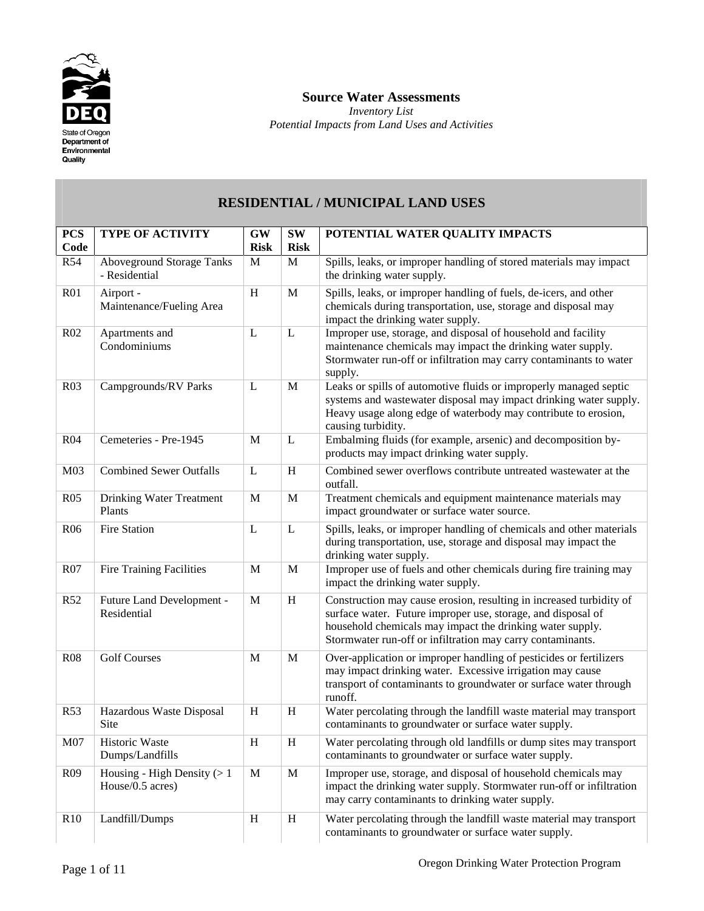

#### **Source Water Assessments**

*Inventory List Potential Impacts from Land Uses and Activities*

#### **RESIDENTIAL / MUNICIPAL LAND USES PCS Code TYPE OF ACTIVITY GW Risk SW Risk POTENTIAL WATER QUALITY IMPACTS**  R54 Aboveground Storage Tanks - Residential M | M | Spills, leaks, or improper handling of stored materials may impact the drinking water supply. R01 Airport - Maintenance/Fueling Area H M Spills, leaks, or improper handling of fuels, de-icers, and other chemicals during transportation, use, storage and disposal may impact the drinking water supply. R02 Apartments and Condominiums  $L \mid L \mid$  Improper use, storage, and disposal of household and facility maintenance chemicals may impact the drinking water supply. Stormwater run-off or infiltration may carry contaminants to water supply. R03 Campgrounds/RV Parks L M Leaks or spills of automotive fluids or improperly managed septic systems and wastewater disposal may impact drinking water supply. Heavy usage along edge of waterbody may contribute to erosion, causing turbidity. R04 Cemeteries - Pre-1945 M L Embalming fluids (for example, arsenic) and decomposition byproducts may impact drinking water supply. M03 Combined Sewer Outfalls L H Combined sewer overflows contribute untreated wastewater at the outfall. R05 Drinking Water Treatment Plants M | M | Treatment chemicals and equipment maintenance materials may impact groundwater or surface water source. R06 Fire Station L L Spills, leaks, or improper handling of chemicals and other materials during transportation, use, storage and disposal may impact the drinking water supply. R07 Fire Training Facilities M M Improper use of fuels and other chemicals during fire training may impact the drinking water supply. R52 Future Land Development -Residential M H Construction may cause erosion, resulting in increased turbidity of surface water. Future improper use, storage, and disposal of household chemicals may impact the drinking water supply. Stormwater run-off or infiltration may carry contaminants. R08 Golf Courses M M M Over-application or improper handling of pesticides or fertilizers may impact drinking water. Excessive irrigation may cause transport of contaminants to groundwater or surface water through runoff. R53 Hazardous Waste Disposal Site H H Water percolating through the landfill waste material may transport contaminants to groundwater or surface water supply. M07 | Historic Waste Dumps/Landfills H H Water percolating through old landfills or dump sites may transport contaminants to groundwater or surface water supply.

R10 Landfill/Dumps H H Water percolating through the landfill waste material may transport

R09 Housing - High Density  $(> 1$ House/0.5 acres)

M | M | Improper use, storage, and disposal of household chemicals may

may carry contaminants to drinking water supply.

contaminants to groundwater or surface water supply.

impact the drinking water supply. Stormwater run-off or infiltration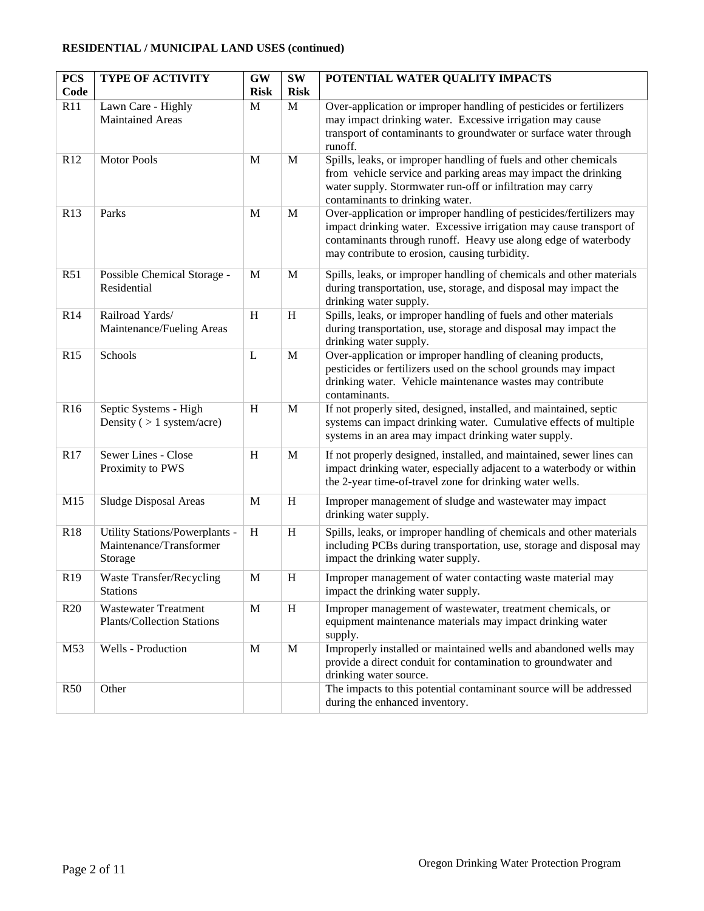#### **RESIDENTIAL / MUNICIPAL LAND USES (continued)**

| <b>PCS</b><br>Code | <b>TYPE OF ACTIVITY</b>                                   | <b>GW</b><br><b>Risk</b> | $\textbf{SW}\xspace$<br><b>Risk</b> | POTENTIAL WATER QUALITY IMPACTS                                                                                                             |
|--------------------|-----------------------------------------------------------|--------------------------|-------------------------------------|---------------------------------------------------------------------------------------------------------------------------------------------|
| R11                | Lawn Care - Highly                                        | M                        | $\mathbf M$                         | Over-application or improper handling of pesticides or fertilizers                                                                          |
|                    | <b>Maintained Areas</b>                                   |                          |                                     | may impact drinking water. Excessive irrigation may cause                                                                                   |
|                    |                                                           |                          |                                     | transport of contaminants to groundwater or surface water through<br>runoff.                                                                |
| R12                | <b>Motor Pools</b>                                        | M                        | M                                   | Spills, leaks, or improper handling of fuels and other chemicals                                                                            |
|                    |                                                           |                          |                                     | from vehicle service and parking areas may impact the drinking<br>water supply. Stormwater run-off or infiltration may carry                |
|                    |                                                           |                          |                                     | contaminants to drinking water.                                                                                                             |
| R13                | Parks                                                     | M                        | M                                   | Over-application or improper handling of pesticides/fertilizers may                                                                         |
|                    |                                                           |                          |                                     | impact drinking water. Excessive irrigation may cause transport of<br>contaminants through runoff. Heavy use along edge of waterbody        |
|                    |                                                           |                          |                                     | may contribute to erosion, causing turbidity.                                                                                               |
| R51                | Possible Chemical Storage -                               | M                        | M                                   | Spills, leaks, or improper handling of chemicals and other materials                                                                        |
|                    | Residential                                               |                          |                                     | during transportation, use, storage, and disposal may impact the                                                                            |
| R14                | Railroad Yards/                                           | H                        | H                                   | drinking water supply.<br>Spills, leaks, or improper handling of fuels and other materials                                                  |
|                    | Maintenance/Fueling Areas                                 |                          |                                     | during transportation, use, storage and disposal may impact the                                                                             |
|                    |                                                           |                          |                                     | drinking water supply.                                                                                                                      |
| R15                | Schools                                                   | $\mathbf L$              | M                                   | Over-application or improper handling of cleaning products,<br>pesticides or fertilizers used on the school grounds may impact              |
|                    |                                                           |                          |                                     | drinking water. Vehicle maintenance wastes may contribute                                                                                   |
|                    |                                                           |                          |                                     | contaminants.                                                                                                                               |
| R16                | Septic Systems - High                                     | H                        | $\mathbf M$                         | If not properly sited, designed, installed, and maintained, septic                                                                          |
|                    | Density ( $> 1$ system/acre)                              |                          |                                     | systems can impact drinking water. Cumulative effects of multiple<br>systems in an area may impact drinking water supply.                   |
| R17                | Sewer Lines - Close                                       | H                        | M                                   | If not properly designed, installed, and maintained, sewer lines can                                                                        |
|                    | Proximity to PWS                                          |                          |                                     | impact drinking water, especially adjacent to a waterbody or within                                                                         |
|                    |                                                           |                          |                                     | the 2-year time-of-travel zone for drinking water wells.                                                                                    |
| M15                | Sludge Disposal Areas                                     | M                        | H                                   | Improper management of sludge and wastewater may impact                                                                                     |
|                    |                                                           |                          |                                     | drinking water supply.                                                                                                                      |
| R18                | Utility Stations/Powerplants -<br>Maintenance/Transformer | H                        | $\, {\rm H}$                        | Spills, leaks, or improper handling of chemicals and other materials<br>including PCBs during transportation, use, storage and disposal may |
|                    | Storage                                                   |                          |                                     | impact the drinking water supply.                                                                                                           |
| R <sub>19</sub>    | <b>Waste Transfer/Recycling</b>                           | M                        | $\boldsymbol{\mathrm{H}}$           | Improper management of water contacting waste material may                                                                                  |
|                    | <b>Stations</b>                                           |                          |                                     | impact the drinking water supply.                                                                                                           |
| R20                | <b>Wastewater Treatment</b>                               | M                        | H                                   | Improper management of wastewater, treatment chemicals, or                                                                                  |
|                    | <b>Plants/Collection Stations</b>                         |                          |                                     | equipment maintenance materials may impact drinking water<br>supply.                                                                        |
| M53                | Wells - Production                                        | $\mathbf{M}$             | M                                   | Improperly installed or maintained wells and abandoned wells may                                                                            |
|                    |                                                           |                          |                                     | provide a direct conduit for contamination to groundwater and                                                                               |
| R50                | Other                                                     |                          |                                     | drinking water source.<br>The impacts to this potential contaminant source will be addressed                                                |
|                    |                                                           |                          |                                     | during the enhanced inventory.                                                                                                              |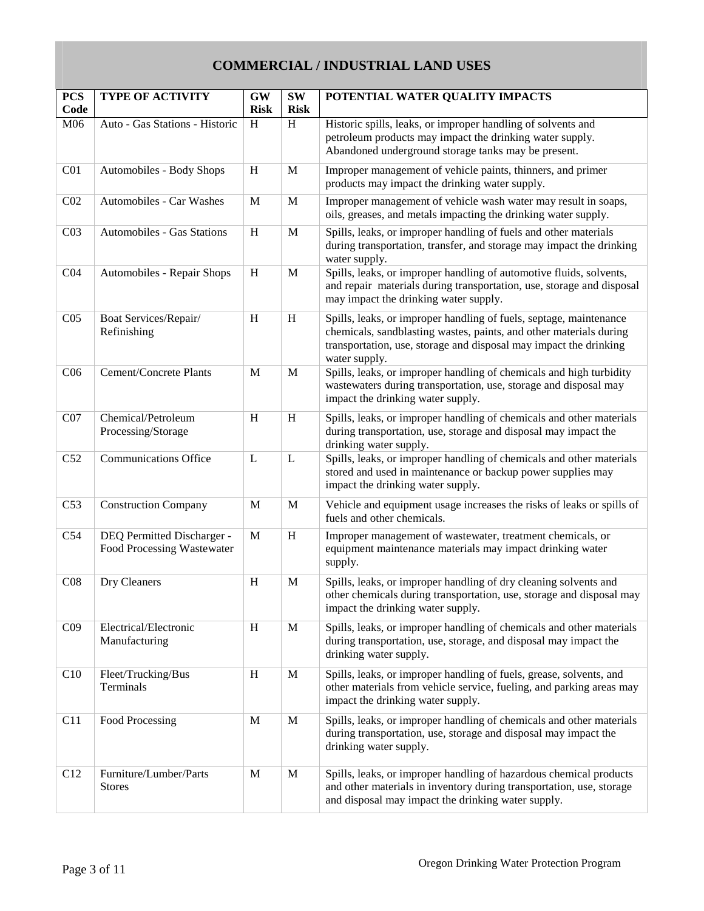# **COMMERCIAL / INDUSTRIAL LAND USES**

| <b>PCS</b><br>Code | <b>TYPE OF ACTIVITY</b>                                  | <b>GW</b><br><b>Risk</b> | <b>SW</b><br><b>Risk</b> | POTENTIAL WATER QUALITY IMPACTS                                                                                                                                                                                                |
|--------------------|----------------------------------------------------------|--------------------------|--------------------------|--------------------------------------------------------------------------------------------------------------------------------------------------------------------------------------------------------------------------------|
| M06                | Auto - Gas Stations - Historic                           | H                        | H                        | Historic spills, leaks, or improper handling of solvents and<br>petroleum products may impact the drinking water supply.<br>Abandoned underground storage tanks may be present.                                                |
| C <sub>01</sub>    | Automobiles - Body Shops                                 | H                        | M                        | Improper management of vehicle paints, thinners, and primer<br>products may impact the drinking water supply.                                                                                                                  |
| C <sub>02</sub>    | Automobiles - Car Washes                                 | M                        | $\mathbf{M}$             | Improper management of vehicle wash water may result in soaps,<br>oils, greases, and metals impacting the drinking water supply.                                                                                               |
| C <sub>03</sub>    | Automobiles - Gas Stations                               | H                        | M                        | Spills, leaks, or improper handling of fuels and other materials<br>during transportation, transfer, and storage may impact the drinking<br>water supply.                                                                      |
| C <sub>04</sub>    | Automobiles - Repair Shops                               | H                        | M                        | Spills, leaks, or improper handling of automotive fluids, solvents,<br>and repair materials during transportation, use, storage and disposal<br>may impact the drinking water supply.                                          |
| C <sub>05</sub>    | Boat Services/Repair/<br>Refinishing                     | H                        | H                        | Spills, leaks, or improper handling of fuels, septage, maintenance<br>chemicals, sandblasting wastes, paints, and other materials during<br>transportation, use, storage and disposal may impact the drinking<br>water supply. |
| C <sub>06</sub>    | <b>Cement/Concrete Plants</b>                            | M                        | $\mathbf{M}$             | Spills, leaks, or improper handling of chemicals and high turbidity<br>wastewaters during transportation, use, storage and disposal may<br>impact the drinking water supply.                                                   |
| CO7                | Chemical/Petroleum<br>Processing/Storage                 | H                        | H                        | Spills, leaks, or improper handling of chemicals and other materials<br>during transportation, use, storage and disposal may impact the<br>drinking water supply.                                                              |
| C52                | <b>Communications Office</b>                             | L                        | L                        | Spills, leaks, or improper handling of chemicals and other materials<br>stored and used in maintenance or backup power supplies may<br>impact the drinking water supply.                                                       |
| C53                | <b>Construction Company</b>                              | M                        | $\mathbf{M}$             | Vehicle and equipment usage increases the risks of leaks or spills of<br>fuels and other chemicals.                                                                                                                            |
| C54                | DEQ Permitted Discharger -<br>Food Processing Wastewater | M                        | H                        | Improper management of wastewater, treatment chemicals, or<br>equipment maintenance materials may impact drinking water<br>supply.                                                                                             |
| C <sub>08</sub>    | Dry Cleaners                                             | H                        | M                        | Spills, leaks, or improper handling of dry cleaning solvents and<br>other chemicals during transportation, use, storage and disposal may<br>impact the drinking water supply.                                                  |
| C <sub>09</sub>    | Electrical/Electronic<br>Manufacturing                   | H                        | $\mathbf M$              | Spills, leaks, or improper handling of chemicals and other materials<br>during transportation, use, storage, and disposal may impact the<br>drinking water supply.                                                             |
| C10                | Fleet/Trucking/Bus<br>Terminals                          | H                        | M                        | Spills, leaks, or improper handling of fuels, grease, solvents, and<br>other materials from vehicle service, fueling, and parking areas may<br>impact the drinking water supply.                                               |
| C11                | Food Processing                                          | M                        | $\mathbf M$              | Spills, leaks, or improper handling of chemicals and other materials<br>during transportation, use, storage and disposal may impact the<br>drinking water supply.                                                              |
| C12                | Furniture/Lumber/Parts<br><b>Stores</b>                  | M                        | $\mathbf M$              | Spills, leaks, or improper handling of hazardous chemical products<br>and other materials in inventory during transportation, use, storage<br>and disposal may impact the drinking water supply.                               |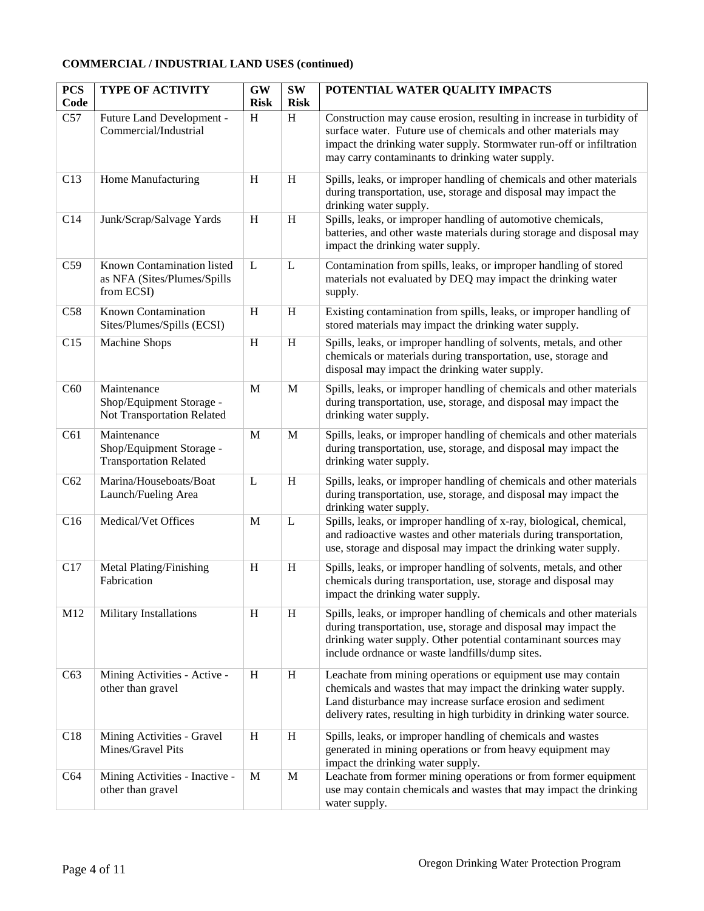#### **COMMERCIAL / INDUSTRIAL LAND USES (continued)**

| <b>PCS</b>  | <b>TYPE OF ACTIVITY</b>                                                  | <b>GW</b>        | <b>SW</b>        | POTENTIAL WATER QUALITY IMPACTS                                                                                                                                                                                                                                        |
|-------------|--------------------------------------------------------------------------|------------------|------------------|------------------------------------------------------------------------------------------------------------------------------------------------------------------------------------------------------------------------------------------------------------------------|
| Code<br>C57 |                                                                          | <b>Risk</b><br>H | <b>Risk</b><br>H |                                                                                                                                                                                                                                                                        |
|             | Future Land Development -<br>Commercial/Industrial                       |                  |                  | Construction may cause erosion, resulting in increase in turbidity of<br>surface water. Future use of chemicals and other materials may<br>impact the drinking water supply. Stormwater run-off or infiltration<br>may carry contaminants to drinking water supply.    |
| C13         | Home Manufacturing                                                       | H                | H                | Spills, leaks, or improper handling of chemicals and other materials<br>during transportation, use, storage and disposal may impact the<br>drinking water supply.                                                                                                      |
| C14         | Junk/Scrap/Salvage Yards                                                 | H                | $\,$ H           | Spills, leaks, or improper handling of automotive chemicals,<br>batteries, and other waste materials during storage and disposal may<br>impact the drinking water supply.                                                                                              |
| C59         | Known Contamination listed<br>as NFA (Sites/Plumes/Spills<br>from ECSI)  | L                | L                | Contamination from spills, leaks, or improper handling of stored<br>materials not evaluated by DEQ may impact the drinking water<br>supply.                                                                                                                            |
| C58         | Known Contamination<br>Sites/Plumes/Spills (ECSI)                        | H                | H                | Existing contamination from spills, leaks, or improper handling of<br>stored materials may impact the drinking water supply.                                                                                                                                           |
| C15         | Machine Shops                                                            | H                | H                | Spills, leaks, or improper handling of solvents, metals, and other<br>chemicals or materials during transportation, use, storage and<br>disposal may impact the drinking water supply.                                                                                 |
| C60         | Maintenance<br>Shop/Equipment Storage -<br>Not Transportation Related    | M                | M                | Spills, leaks, or improper handling of chemicals and other materials<br>during transportation, use, storage, and disposal may impact the<br>drinking water supply.                                                                                                     |
| C61         | Maintenance<br>Shop/Equipment Storage -<br><b>Transportation Related</b> | $\mathbf{M}$     | M                | Spills, leaks, or improper handling of chemicals and other materials<br>during transportation, use, storage, and disposal may impact the<br>drinking water supply.                                                                                                     |
| C62         | Marina/Houseboats/Boat<br>Launch/Fueling Area                            | L                | H                | Spills, leaks, or improper handling of chemicals and other materials<br>during transportation, use, storage, and disposal may impact the<br>drinking water supply.                                                                                                     |
| C16         | Medical/Vet Offices                                                      | M                | $\mathbf L$      | Spills, leaks, or improper handling of x-ray, biological, chemical,<br>and radioactive wastes and other materials during transportation,<br>use, storage and disposal may impact the drinking water supply.                                                            |
| C17         | Metal Plating/Finishing<br>Fabrication                                   | H                | H                | Spills, leaks, or improper handling of solvents, metals, and other<br>chemicals during transportation, use, storage and disposal may<br>impact the drinking water supply.                                                                                              |
| M12         | Military Installations                                                   | H                | H                | Spills, leaks, or improper handling of chemicals and other materials<br>during transportation, use, storage and disposal may impact the<br>drinking water supply. Other potential contaminant sources may<br>include ordnance or waste landfills/dump sites.           |
| C63         | Mining Activities - Active -<br>other than gravel                        | H                | H                | Leachate from mining operations or equipment use may contain<br>chemicals and wastes that may impact the drinking water supply.<br>Land disturbance may increase surface erosion and sediment<br>delivery rates, resulting in high turbidity in drinking water source. |
| C18         | Mining Activities - Gravel<br>Mines/Gravel Pits                          | H                | H                | Spills, leaks, or improper handling of chemicals and wastes<br>generated in mining operations or from heavy equipment may<br>impact the drinking water supply.                                                                                                         |
| C64         | Mining Activities - Inactive -<br>other than gravel                      | M                | M                | Leachate from former mining operations or from former equipment<br>use may contain chemicals and wastes that may impact the drinking<br>water supply.                                                                                                                  |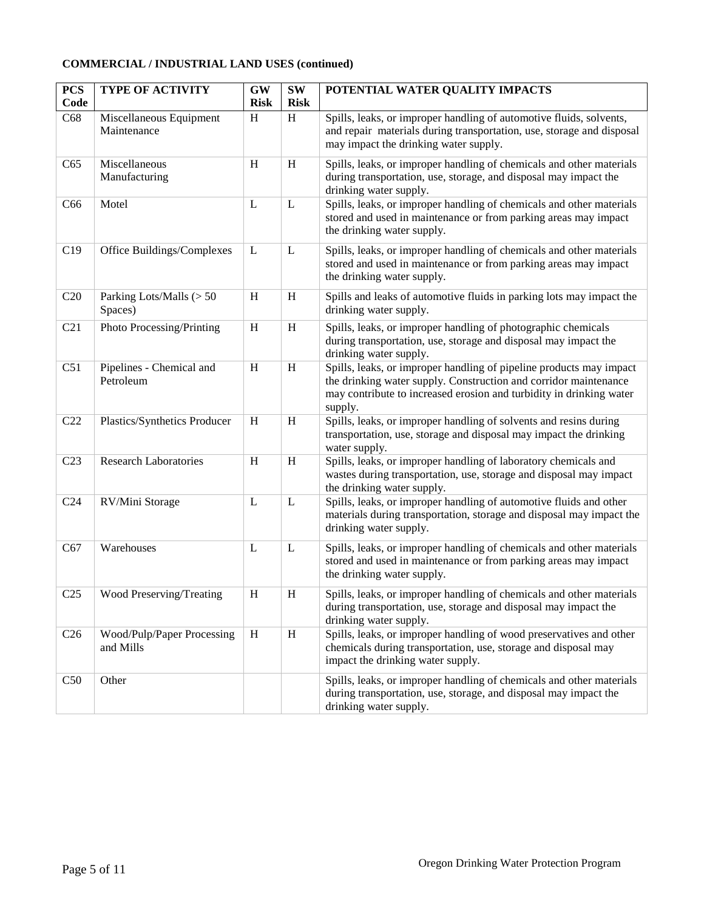#### **COMMERCIAL / INDUSTRIAL LAND USES (continued)**

| <b>PCS</b><br>Code | <b>TYPE OF ACTIVITY</b>                 | <b>GW</b><br><b>Risk</b> | <b>SW</b><br><b>Risk</b> | POTENTIAL WATER QUALITY IMPACTS                                                                                                                                                                                           |
|--------------------|-----------------------------------------|--------------------------|--------------------------|---------------------------------------------------------------------------------------------------------------------------------------------------------------------------------------------------------------------------|
| C68                | Miscellaneous Equipment<br>Maintenance  | H                        | H                        | Spills, leaks, or improper handling of automotive fluids, solvents,<br>and repair materials during transportation, use, storage and disposal<br>may impact the drinking water supply.                                     |
| C65                | Miscellaneous<br>Manufacturing          | H                        | H                        | Spills, leaks, or improper handling of chemicals and other materials<br>during transportation, use, storage, and disposal may impact the<br>drinking water supply.                                                        |
| C66                | Motel                                   | L                        | L                        | Spills, leaks, or improper handling of chemicals and other materials<br>stored and used in maintenance or from parking areas may impact<br>the drinking water supply.                                                     |
| C19                | Office Buildings/Complexes              | L                        | L                        | Spills, leaks, or improper handling of chemicals and other materials<br>stored and used in maintenance or from parking areas may impact<br>the drinking water supply.                                                     |
| C20                | Parking Lots/Malls (> 50<br>Spaces)     | H                        | H                        | Spills and leaks of automotive fluids in parking lots may impact the<br>drinking water supply.                                                                                                                            |
| C <sub>21</sub>    | Photo Processing/Printing               | H                        | H                        | Spills, leaks, or improper handling of photographic chemicals<br>during transportation, use, storage and disposal may impact the<br>drinking water supply.                                                                |
| C51                | Pipelines - Chemical and<br>Petroleum   | H                        | H                        | Spills, leaks, or improper handling of pipeline products may impact<br>the drinking water supply. Construction and corridor maintenance<br>may contribute to increased erosion and turbidity in drinking water<br>supply. |
| C22                | Plastics/Synthetics Producer            | H                        | H                        | Spills, leaks, or improper handling of solvents and resins during<br>transportation, use, storage and disposal may impact the drinking<br>water supply.                                                                   |
| C <sub>23</sub>    | <b>Research Laboratories</b>            | H                        | $\,$ H                   | Spills, leaks, or improper handling of laboratory chemicals and<br>wastes during transportation, use, storage and disposal may impact<br>the drinking water supply.                                                       |
| C <sub>24</sub>    | RV/Mini Storage                         | L                        | $\mathbf L$              | Spills, leaks, or improper handling of automotive fluids and other<br>materials during transportation, storage and disposal may impact the<br>drinking water supply.                                                      |
| C67                | Warehouses                              | L                        | L                        | Spills, leaks, or improper handling of chemicals and other materials<br>stored and used in maintenance or from parking areas may impact<br>the drinking water supply.                                                     |
| C <sub>25</sub>    | Wood Preserving/Treating                | H                        | H                        | Spills, leaks, or improper handling of chemicals and other materials<br>during transportation, use, storage and disposal may impact the<br>drinking water supply.                                                         |
| C <sub>26</sub>    | Wood/Pulp/Paper Processing<br>and Mills | H                        | H                        | Spills, leaks, or improper handling of wood preservatives and other<br>chemicals during transportation, use, storage and disposal may<br>impact the drinking water supply.                                                |
| C50                | Other                                   |                          |                          | Spills, leaks, or improper handling of chemicals and other materials<br>during transportation, use, storage, and disposal may impact the<br>drinking water supply.                                                        |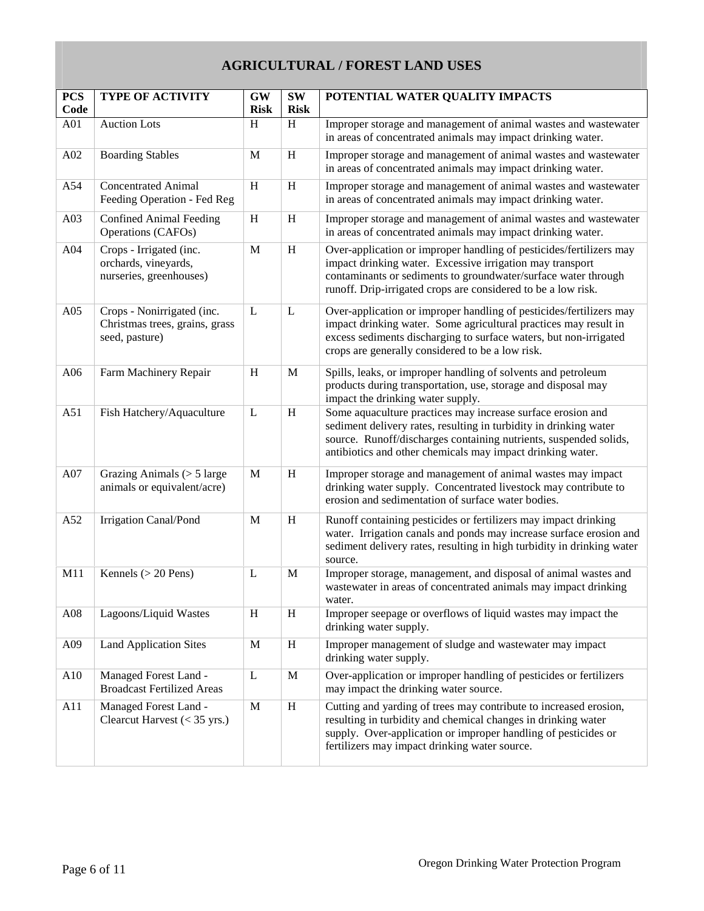### **AGRICULTURAL / FOREST LAND USES**

| <b>PCS</b><br>Code | <b>TYPE OF ACTIVITY</b>                                                        | <b>GW</b><br><b>Risk</b> | <b>SW</b><br><b>Risk</b>  | POTENTIAL WATER QUALITY IMPACTS                                                                                                                                                                                                                                     |
|--------------------|--------------------------------------------------------------------------------|--------------------------|---------------------------|---------------------------------------------------------------------------------------------------------------------------------------------------------------------------------------------------------------------------------------------------------------------|
| A01                | <b>Auction Lots</b>                                                            | H                        | H                         | Improper storage and management of animal wastes and wastewater<br>in areas of concentrated animals may impact drinking water.                                                                                                                                      |
| A02                | <b>Boarding Stables</b>                                                        | M                        | $\boldsymbol{\mathrm{H}}$ | Improper storage and management of animal wastes and wastewater<br>in areas of concentrated animals may impact drinking water.                                                                                                                                      |
| A54                | <b>Concentrated Animal</b><br>Feeding Operation - Fed Reg                      | H                        | H                         | Improper storage and management of animal wastes and wastewater<br>in areas of concentrated animals may impact drinking water.                                                                                                                                      |
| A03                | <b>Confined Animal Feeding</b><br>Operations (CAFOs)                           | H                        | H                         | Improper storage and management of animal wastes and wastewater<br>in areas of concentrated animals may impact drinking water.                                                                                                                                      |
| A04                | Crops - Irrigated (inc.<br>orchards, vineyards,<br>nurseries, greenhouses)     | M                        | H                         | Over-application or improper handling of pesticides/fertilizers may<br>impact drinking water. Excessive irrigation may transport<br>contaminants or sediments to groundwater/surface water through<br>runoff. Drip-irrigated crops are considered to be a low risk. |
| A05                | Crops - Nonirrigated (inc.<br>Christmas trees, grains, grass<br>seed, pasture) | L                        | L                         | Over-application or improper handling of pesticides/fertilizers may<br>impact drinking water. Some agricultural practices may result in<br>excess sediments discharging to surface waters, but non-irrigated<br>crops are generally considered to be a low risk.    |
| A06                | Farm Machinery Repair                                                          | H                        | M                         | Spills, leaks, or improper handling of solvents and petroleum<br>products during transportation, use, storage and disposal may<br>impact the drinking water supply.                                                                                                 |
| A51                | Fish Hatchery/Aquaculture                                                      | $\mathbf{L}$             | H                         | Some aquaculture practices may increase surface erosion and<br>sediment delivery rates, resulting in turbidity in drinking water<br>source. Runoff/discharges containing nutrients, suspended solids,<br>antibiotics and other chemicals may impact drinking water. |
| A07                | Grazing Animals $($ > 5 large<br>animals or equivalent/acre)                   | $\mathbf{M}$             | H                         | Improper storage and management of animal wastes may impact<br>drinking water supply. Concentrated livestock may contribute to<br>erosion and sedimentation of surface water bodies.                                                                                |
| A52                | <b>Irrigation Canal/Pond</b>                                                   | M                        | H                         | Runoff containing pesticides or fertilizers may impact drinking<br>water. Irrigation canals and ponds may increase surface erosion and<br>sediment delivery rates, resulting in high turbidity in drinking water<br>source.                                         |
| M11                | Kennels ( $>$ 20 Pens)                                                         | L                        | $\mathbf M$               | Improper storage, management, and disposal of animal wastes and<br>wastewater in areas of concentrated animals may impact drinking<br>water.                                                                                                                        |
| A08                | Lagoons/Liquid Wastes                                                          | $H_{\rm}$                | H                         | Improper seepage or overflows of liquid wastes may impact the<br>drinking water supply.                                                                                                                                                                             |
| A09                | <b>Land Application Sites</b>                                                  | M                        | H                         | Improper management of sludge and wastewater may impact<br>drinking water supply.                                                                                                                                                                                   |
| A10                | Managed Forest Land -<br><b>Broadcast Fertilized Areas</b>                     | L                        | $\mathbf M$               | Over-application or improper handling of pesticides or fertilizers<br>may impact the drinking water source.                                                                                                                                                         |
| A11                | Managed Forest Land -<br>Clearcut Harvest $(< 35$ yrs.)                        | M                        | $\mathbf H$               | Cutting and yarding of trees may contribute to increased erosion,<br>resulting in turbidity and chemical changes in drinking water<br>supply. Over-application or improper handling of pesticides or<br>fertilizers may impact drinking water source.               |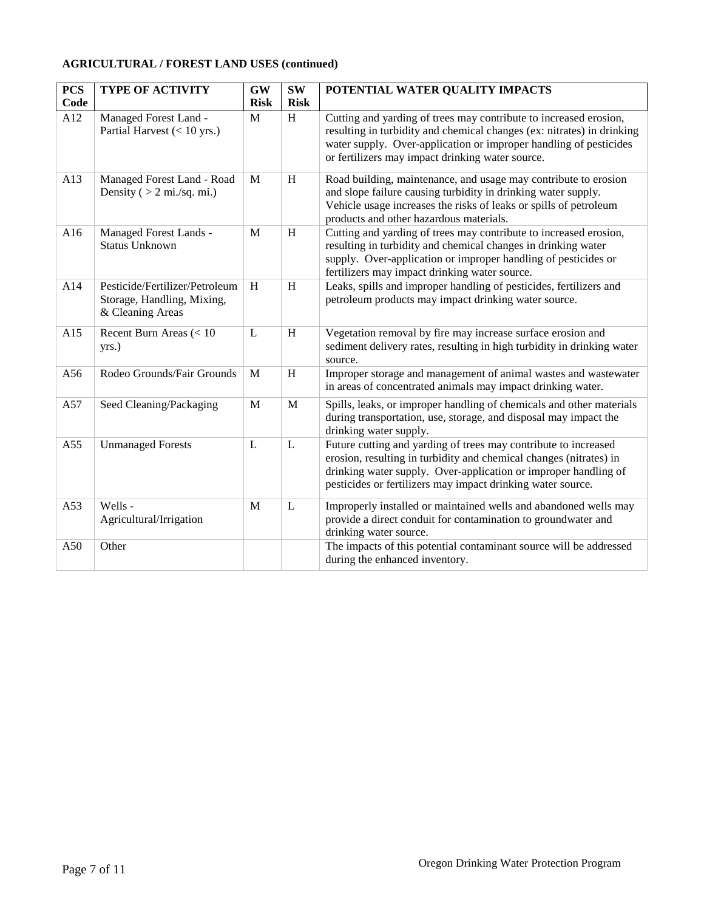#### **AGRICULTURAL / FOREST LAND USES (continued)**

| <b>PCS</b> | <b>TYPE OF ACTIVITY</b>                                                          | <b>GW</b>   | <b>SW</b>                 | POTENTIAL WATER QUALITY IMPACTS                                                                                                                                                                                                                                         |
|------------|----------------------------------------------------------------------------------|-------------|---------------------------|-------------------------------------------------------------------------------------------------------------------------------------------------------------------------------------------------------------------------------------------------------------------------|
| Code       |                                                                                  | <b>Risk</b> | <b>Risk</b>               |                                                                                                                                                                                                                                                                         |
| A12        | Managed Forest Land -<br>Partial Harvest $(< 10$ yrs.)                           | M           | H                         | Cutting and yarding of trees may contribute to increased erosion,<br>resulting in turbidity and chemical changes (ex: nitrates) in drinking<br>water supply. Over-application or improper handling of pesticides<br>or fertilizers may impact drinking water source.    |
| A13        | Managed Forest Land - Road<br>Density ( $> 2$ mi./sq. mi.)                       | M           | H                         | Road building, maintenance, and usage may contribute to erosion<br>and slope failure causing turbidity in drinking water supply.<br>Vehicle usage increases the risks of leaks or spills of petroleum<br>products and other hazardous materials.                        |
| A16        | Managed Forest Lands -<br><b>Status Unknown</b>                                  | M           | H                         | Cutting and yarding of trees may contribute to increased erosion,<br>resulting in turbidity and chemical changes in drinking water<br>supply. Over-application or improper handling of pesticides or<br>fertilizers may impact drinking water source.                   |
| A14        | Pesticide/Fertilizer/Petroleum<br>Storage, Handling, Mixing,<br>& Cleaning Areas | H           | $\boldsymbol{\mathrm{H}}$ | Leaks, spills and improper handling of pesticides, fertilizers and<br>petroleum products may impact drinking water source.                                                                                                                                              |
| A15        | Recent Burn Areas $(< 10$<br>yrs.)                                               | L           | H                         | Vegetation removal by fire may increase surface erosion and<br>sediment delivery rates, resulting in high turbidity in drinking water<br>source.                                                                                                                        |
| A56        | Rodeo Grounds/Fair Grounds                                                       | M           | H                         | Improper storage and management of animal wastes and wastewater<br>in areas of concentrated animals may impact drinking water.                                                                                                                                          |
| A57        | Seed Cleaning/Packaging                                                          | M           | M                         | Spills, leaks, or improper handling of chemicals and other materials<br>during transportation, use, storage, and disposal may impact the<br>drinking water supply.                                                                                                      |
| A55        | <b>Unmanaged Forests</b>                                                         | L           | L                         | Future cutting and yarding of trees may contribute to increased<br>erosion, resulting in turbidity and chemical changes (nitrates) in<br>drinking water supply. Over-application or improper handling of<br>pesticides or fertilizers may impact drinking water source. |
| A53        | Wells -<br>Agricultural/Irrigation                                               | M           | L                         | Improperly installed or maintained wells and abandoned wells may<br>provide a direct conduit for contamination to groundwater and<br>drinking water source.                                                                                                             |
| A50        | Other                                                                            |             |                           | The impacts of this potential contaminant source will be addressed<br>during the enhanced inventory.                                                                                                                                                                    |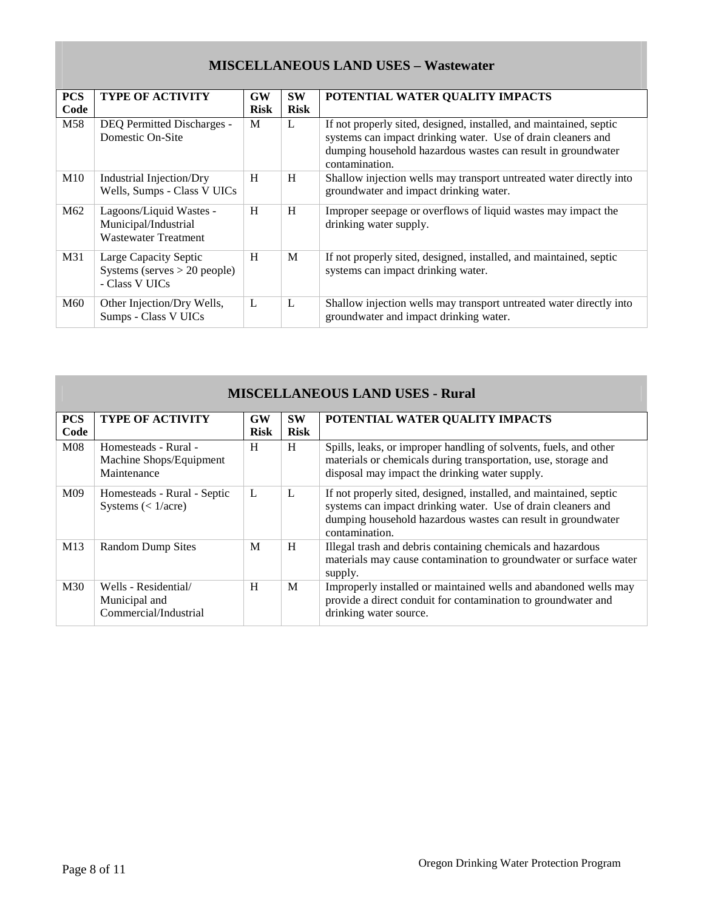### **MISCELLANEOUS LAND USES – Wastewater**

| <b>PCS</b>      | <b>TYPE OF ACTIVITY</b>                                                        | GW          | <b>SW</b>   | POTENTIAL WATER QUALITY IMPACTS                                                                                                                                                                                      |
|-----------------|--------------------------------------------------------------------------------|-------------|-------------|----------------------------------------------------------------------------------------------------------------------------------------------------------------------------------------------------------------------|
| Code            |                                                                                | <b>Risk</b> | <b>Risk</b> |                                                                                                                                                                                                                      |
| M58             | <b>DEQ Permitted Discharges -</b><br>Domestic On-Site                          | M           | L           | If not properly sited, designed, installed, and maintained, septic<br>systems can impact drinking water. Use of drain cleaners and<br>dumping household hazardous wastes can result in groundwater<br>contamination. |
| M10             | Industrial Injection/Dry<br>Wells, Sumps - Class V UICs                        | H           | H           | Shallow injection wells may transport untreated water directly into<br>groundwater and impact drinking water.                                                                                                        |
| M <sub>62</sub> | Lagoons/Liquid Wastes -<br>Municipal/Industrial<br><b>Wastewater Treatment</b> | H           | H           | Improper seepage or overflows of liquid wastes may impact the<br>drinking water supply.                                                                                                                              |
| M31             | Large Capacity Septic<br>Systems (serves $> 20$ people)<br>- Class V UICs      | H           | M           | If not properly sited, designed, installed, and maintained, septic<br>systems can impact drinking water.                                                                                                             |
| M60             | Other Injection/Dry Wells,<br>Sumps - Class V UICs                             | L           | L           | Shallow injection wells may transport untreated water directly into<br>groundwater and impact drinking water.                                                                                                        |

| <b>MISCELLANEOUS LAND USES - Rural</b> |                                                                |                          |                          |                                                                                                                                                                                                                      |  |
|----------------------------------------|----------------------------------------------------------------|--------------------------|--------------------------|----------------------------------------------------------------------------------------------------------------------------------------------------------------------------------------------------------------------|--|
| <b>PCS</b><br>Code                     | <b>TYPE OF ACTIVITY</b>                                        | <b>GW</b><br><b>Risk</b> | <b>SW</b><br><b>Risk</b> | POTENTIAL WATER QUALITY IMPACTS                                                                                                                                                                                      |  |
| M <sub>08</sub>                        | Homesteads - Rural -<br>Machine Shops/Equipment<br>Maintenance | H                        | H                        | Spills, leaks, or improper handling of solvents, fuels, and other<br>materials or chemicals during transportation, use, storage and<br>disposal may impact the drinking water supply.                                |  |
| M09                                    | Homesteads - Rural - Septic<br>Systems $(< 1/acre)$            | L                        | L                        | If not properly sited, designed, installed, and maintained, septic<br>systems can impact drinking water. Use of drain cleaners and<br>dumping household hazardous wastes can result in groundwater<br>contamination. |  |
| M13                                    | <b>Random Dump Sites</b>                                       | M                        | H                        | Illegal trash and debris containing chemicals and hazardous<br>materials may cause contamination to groundwater or surface water<br>supply.                                                                          |  |
| M30                                    | Wells - Residential/<br>Municipal and<br>Commercial/Industrial | H                        | M                        | Improperly installed or maintained wells and abandoned wells may<br>provide a direct conduit for contamination to groundwater and<br>drinking water source.                                                          |  |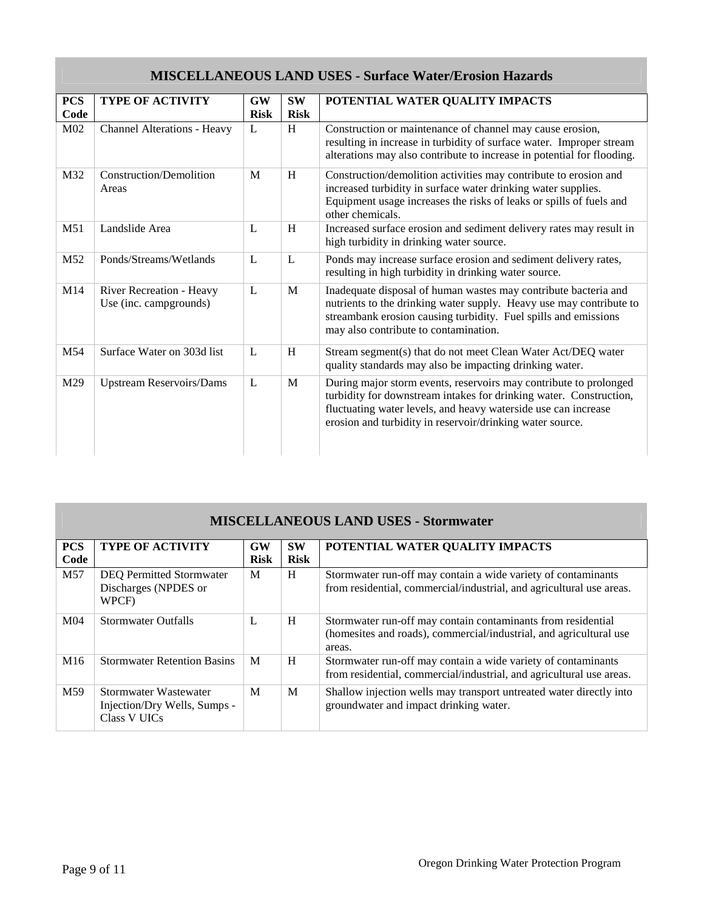## **MISCELLANEOUS LAND USES - Surface Water/Erosion Hazards**

| <b>PCS</b> | <b>TYPE OF ACTIVITY</b>                            | GW          | <b>SW</b>   | POTENTIAL WATER QUALITY IMPACTS                                                                                                                                                                                                                                        |
|------------|----------------------------------------------------|-------------|-------------|------------------------------------------------------------------------------------------------------------------------------------------------------------------------------------------------------------------------------------------------------------------------|
| Code       |                                                    | <b>Risk</b> | <b>Risk</b> |                                                                                                                                                                                                                                                                        |
| M02        | Channel Alterations - Heavy                        | L           | H           | Construction or maintenance of channel may cause erosion,<br>resulting in increase in turbidity of surface water. Improper stream<br>alterations may also contribute to increase in potential for flooding.                                                            |
| M32        | <b>Construction/Demolition</b><br>Areas            | M           | H           | Construction/demolition activities may contribute to erosion and<br>increased turbidity in surface water drinking water supplies.<br>Equipment usage increases the risks of leaks or spills of fuels and<br>other chemicals.                                           |
| M51        | Landslide Area                                     | L           | H           | Increased surface erosion and sediment delivery rates may result in<br>high turbidity in drinking water source.                                                                                                                                                        |
| M52        | Ponds/Streams/Wetlands                             | L           | L           | Ponds may increase surface erosion and sediment delivery rates,<br>resulting in high turbidity in drinking water source.                                                                                                                                               |
| M14        | River Recreation - Heavy<br>Use (inc. campgrounds) | L           | M           | Inadequate disposal of human wastes may contribute bacteria and<br>nutrients to the drinking water supply. Heavy use may contribute to<br>streambank erosion causing turbidity. Fuel spills and emissions<br>may also contribute to contamination.                     |
| M54        | Surface Water on 303d list                         | L           | H           | Stream segment(s) that do not meet Clean Water Act/DEQ water<br>quality standards may also be impacting drinking water.                                                                                                                                                |
| M29        | <b>Upstream Reservoirs/Dams</b>                    | L           | M           | During major storm events, reservoirs may contribute to prolonged<br>turbidity for downstream intakes for drinking water. Construction,<br>fluctuating water levels, and heavy waterside use can increase<br>erosion and turbidity in reservoir/drinking water source. |

| <b>MISCELLANEOUS LAND USES - Stormwater</b> |                                                                              |                          |                          |                                                                                                                                              |  |
|---------------------------------------------|------------------------------------------------------------------------------|--------------------------|--------------------------|----------------------------------------------------------------------------------------------------------------------------------------------|--|
| <b>PCS</b><br>Code                          | <b>TYPE OF ACTIVITY</b>                                                      | <b>GW</b><br><b>Risk</b> | <b>SW</b><br><b>Risk</b> | POTENTIAL WATER QUALITY IMPACTS                                                                                                              |  |
| M <sub>57</sub>                             | <b>DEQ Permitted Stormwater</b><br>Discharges (NPDES or<br>WPCF)             | M                        | H                        | Stormwater run-off may contain a wide variety of contaminants<br>from residential, commercial/industrial, and agricultural use areas.        |  |
| M <sub>04</sub>                             | <b>Stormwater Outfalls</b>                                                   | L                        | H                        | Stormwater run-off may contain contaminants from residential<br>(homesites and roads), commercial/industrial, and agricultural use<br>areas. |  |
| M <sub>16</sub>                             | <b>Stormwater Retention Basins</b>                                           | M                        | H                        | Stormwater run-off may contain a wide variety of contaminants<br>from residential, commercial/industrial, and agricultural use areas.        |  |
| M59                                         | Stormwater Wastewater<br>Injection/Dry Wells, Sumps -<br><b>Class V UICs</b> | M                        | M                        | Shallow injection wells may transport untreated water directly into<br>groundwater and impact drinking water.                                |  |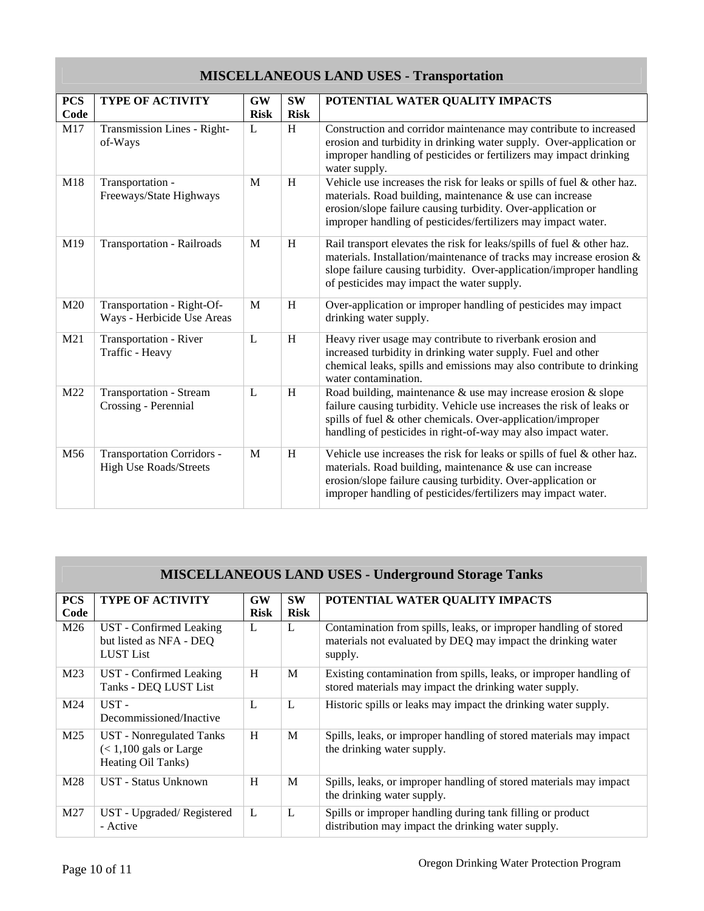# **MISCELLANEOUS LAND USES - Transportation**

| <b>PCS</b><br>Code | <b>TYPE OF ACTIVITY</b>                                            | <b>GW</b><br><b>Risk</b> | <b>SW</b><br><b>Risk</b> | POTENTIAL WATER QUALITY IMPACTS                                                                                                                                                                                                                                              |
|--------------------|--------------------------------------------------------------------|--------------------------|--------------------------|------------------------------------------------------------------------------------------------------------------------------------------------------------------------------------------------------------------------------------------------------------------------------|
| M17                | Transmission Lines - Right-<br>of-Ways                             | L                        | H                        | Construction and corridor maintenance may contribute to increased<br>erosion and turbidity in drinking water supply. Over-application or<br>improper handling of pesticides or fertilizers may impact drinking<br>water supply.                                              |
| M18                | Transportation -<br>Freeways/State Highways                        | M                        | H                        | Vehicle use increases the risk for leaks or spills of fuel & other haz.<br>materials. Road building, maintenance & use can increase<br>erosion/slope failure causing turbidity. Over-application or<br>improper handling of pesticides/fertilizers may impact water.         |
| M19                | <b>Transportation - Railroads</b>                                  | M                        | H                        | Rail transport elevates the risk for leaks/spills of fuel & other haz.<br>materials. Installation/maintenance of tracks may increase erosion &<br>slope failure causing turbidity. Over-application/improper handling<br>of pesticides may impact the water supply.          |
| M20                | Transportation - Right-Of-<br>Ways - Herbicide Use Areas           | M                        | H                        | Over-application or improper handling of pesticides may impact<br>drinking water supply.                                                                                                                                                                                     |
| M21                | Transportation - River<br>Traffic - Heavy                          | L                        | H                        | Heavy river usage may contribute to riverbank erosion and<br>increased turbidity in drinking water supply. Fuel and other<br>chemical leaks, spills and emissions may also contribute to drinking<br>water contamination.                                                    |
| M22                | <b>Transportation - Stream</b><br>Crossing - Perennial             | $\mathbf{L}$             | H                        | Road building, maintenance $\&$ use may increase erosion $\&$ slope<br>failure causing turbidity. Vehicle use increases the risk of leaks or<br>spills of fuel & other chemicals. Over-application/improper<br>handling of pesticides in right-of-way may also impact water. |
| M56                | <b>Transportation Corridors -</b><br><b>High Use Roads/Streets</b> | M                        | H                        | Vehicle use increases the risk for leaks or spills of fuel & other haz.<br>materials. Road building, maintenance & use can increase<br>erosion/slope failure causing turbidity. Over-application or<br>improper handling of pesticides/fertilizers may impact water.         |

| <b>MISCELLANEOUS LAND USES - Underground Storage Tanks</b> |                                                                            |                   |                          |                                                                                                                                             |  |
|------------------------------------------------------------|----------------------------------------------------------------------------|-------------------|--------------------------|---------------------------------------------------------------------------------------------------------------------------------------------|--|
| <b>PCS</b><br>Code                                         | <b>TYPE OF ACTIVITY</b>                                                    | GW<br><b>Risk</b> | <b>SW</b><br><b>Risk</b> | POTENTIAL WATER QUALITY IMPACTS                                                                                                             |  |
| M26                                                        | UST - Confirmed Leaking<br>but listed as NFA - DEQ<br><b>LUST</b> List     | L                 | L                        | Contamination from spills, leaks, or improper handling of stored<br>materials not evaluated by DEQ may impact the drinking water<br>supply. |  |
| M23                                                        | UST - Confirmed Leaking<br>Tanks - DEQ LUST List                           | H                 | M                        | Existing contamination from spills, leaks, or improper handling of<br>stored materials may impact the drinking water supply.                |  |
| M24                                                        | UST-<br>Decommissioned/Inactive                                            | L                 | L                        | Historic spills or leaks may impact the drinking water supply.                                                                              |  |
| M <sub>25</sub>                                            | UST - Nonregulated Tanks<br>$(< 1,100$ gals or Large<br>Heating Oil Tanks) | H                 | M                        | Spills, leaks, or improper handling of stored materials may impact<br>the drinking water supply.                                            |  |
| M28                                                        | UST - Status Unknown                                                       | H                 | M                        | Spills, leaks, or improper handling of stored materials may impact<br>the drinking water supply.                                            |  |
| M27                                                        | UST - Upgraded/Registered<br>- Active                                      | L                 | L                        | Spills or improper handling during tank filling or product<br>distribution may impact the drinking water supply.                            |  |